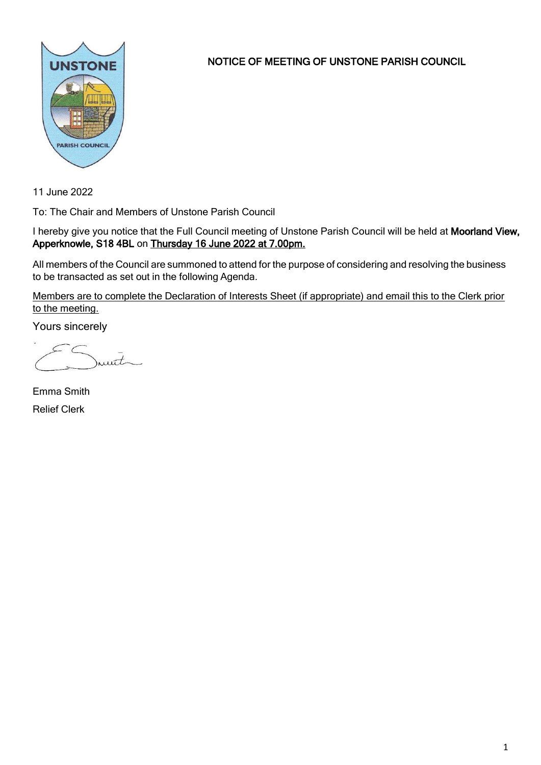

NOTICE OF MEETING OF UNSTONE PARISH COUNCIL

11 June 2022

To: The Chair and Members of Unstone Parish Council

I hereby give you notice that the Full Council meeting of Unstone Parish Council will be held at Moorland View, Apperknowle, S18 4BL on Thursday 16 June 2022 at 7.00pm.

All members of the Council are summoned to attend for the purpose of considering and resolving the business to be transacted as set out in the following Agenda.

Members are to complete the Declaration of Interests Sheet (if appropriate) and email this to the Clerk prior to the meeting.

Yours sincerely

munt

Emma Smith Relief Clerk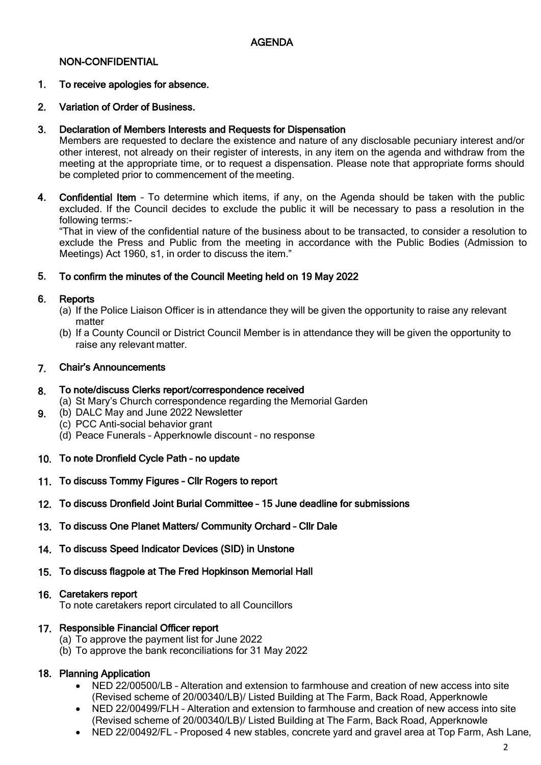### NON-CONFIDENTIAL

#### 1. To receive apologies for absence.

#### 2. Variation of Order of Business.

#### 3. Declaration of Members Interests and Requests for Dispensation

Members are requested to declare the existence and nature of any disclosable pecuniary interest and/or other interest, not already on their register of interests, in any item on the agenda and withdraw from the meeting at the appropriate time, or to request a dispensation. Please note that appropriate forms should be completed prior to commencement of the meeting.

4. Confidential Item – To determine which items, if any, on the Agenda should be taken with the public excluded. If the Council decides to exclude the public it will be necessary to pass a resolution in the following terms:-

"That in view of the confidential nature of the business about to be transacted, to consider a resolution to exclude the Press and Public from the meeting in accordance with the Public Bodies (Admission to Meetings) Act 1960, s1, in order to discuss the item."

#### 5. To confirm the minutes of the Council Meeting held on 19 May 2022

#### 6. **Reports**

9.

- (a) If the Police Liaison Officer is in attendance they will be given the opportunity to raise any relevant matter
- (b) If a County Council or District Council Member is in attendance they will be given the opportunity to raise any relevant matter.

#### 7. Chair's Announcements

#### 8. To note/discuss Clerks report/correspondence received

- (a) St Mary's Church correspondence regarding the Memorial Garden
- (b) DALC May and June 2022 Newsletter
- (c) PCC Anti-social behavior grant
	- (d) Peace Funerals Apperknowle discount no response
- 10. To note Dronfield Cycle Path no update
- 11. To discuss Tommy Figures Cllr Rogers to report
- 12. To discuss Dronfield Joint Burial Committee 15 June deadline for submissions
- 13. To discuss One Planet Matters/ Community Orchard Cllr Dale
- 14. To discuss Speed Indicator Devices (SID) in Unstone
- 15. To discuss flagpole at The Fred Hopkinson Memorial Hall

### 16. Caretakers report

To note caretakers report circulated to all Councillors

## 17. Responsible Financial Officer report

- (a) To approve the payment list for June 2022
- (b) To approve the bank reconciliations for 31 May 2022

## 18. Planning Application

- NED 22/00500/LB Alteration and extension to farmhouse and creation of new access into site (Revised scheme of 20/00340/LB)/ Listed Building at The Farm, Back Road, Apperknowle
- NED 22/00499/FLH Alteration and extension to farmhouse and creation of new access into site (Revised scheme of 20/00340/LB)/ Listed Building at The Farm, Back Road, Apperknowle
- NED 22/00492/FL Proposed 4 new stables, concrete yard and gravel area at Top Farm, Ash Lane,